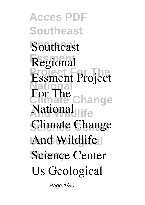**Acces PDF Southeast Regional Southeast Essment Regional Project For The National range And Wildlife National Climate Change And Wildlife Science Center Essment Project For The Us Geological**

Page 1/30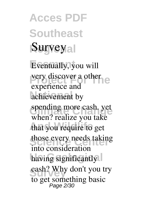**Acces PDF Southeast Regional Survey**

Eventually, you will **Property discover a other** achievement by spending more cash. yet<br>
when<sup>2</sup> realize you take that you require to get those every needs taking having significantly cash? Why experience and when? realize you take into consideration cash? Why don't you try to get something basic Page 2/30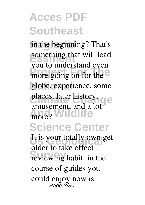in the beginning? That's **Example 10 Example 20 Example 20 Example 20 Example 20 Example 20 Example 20** pour to dimensional even globe, experience, some places, later history, ge more? Wildlife **Science Center** It is your totally own get reviewing habit. in the you to understand even amusement, and a lot older to take effect course of guides you could enjoy now is Page 3/30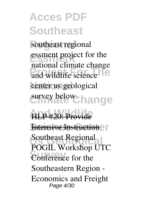**Regional southeast regional Essment essment project for the** and wildlife science<sup>10</sup> center us geological survey below. hange **national climate change**

**ALP** #20: Provide **Intensive Instruction** Southeast Regional Conference for the HLP #20: Provide POGIL Workshop UTC Southeastern Region - Economics and Freight Page 4/30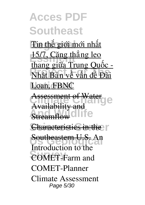Tin thế giới mới nhất 15/7, Căng thẳng leo **Phật Bản về vấn đề Đài** Loan, FBNC thang giữa Trung Quốc -

Assessment of Water **And Wildlife** Assessment of Water a<del>ilability</del> Streamflow

**Characteristics in the** Characteristics in the

**Us Geological** Southeastern U.S. *An*

**Survey** *COMET-Farm and Introduction to the COMET-Planner Climate Assessment* Page 5/30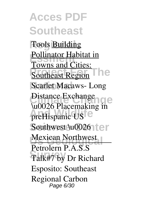**Acces PDF Southeast Regional** *Tools* Building **Pollinator Habitat in Provident Forms and Southeast Region Scarlet Macaws- Long** Distance Exchange **And Wildlife preHispanic US** Southwest \u00261<sup>t</sup>er **Mexican Northwest** Talk#7 by Dr Richard Towns and Cities: **\u0026 Placemaking in** Petrolern P.A.S.S Esposito: Southeast Regional Carbon Page 6/30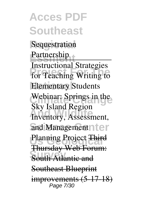**Acces PDF Southeast Sequestration** Partnership **Productional Buddes Elementary Students** Webinar: Springs in the **And Wildlife Inventory, Assessment,** and Management nter Planning Project Third **South Atlantic and** Instructional Strategies **Sky Island Region** Thursday Web Forum: Southeast Blueprint improvements (5-17-18) Page 7/30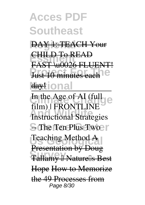**Regional** DAY 1: TEACH Your

**Essment** CHILD To READ **Priori** Macondon Form FAST \u0026 FLUENT!

#### daytional

In the Age of AI (full expected by C<sub>1</sub> *And Wildlife* **S** The Ten Plus Two F Teaching Method<sup>A</sup> **Survey** Tallamy – Nature's Best film) | FRONTLINE Presentation by Doug Hope How to Memorize the 49 Processes from Page 8/30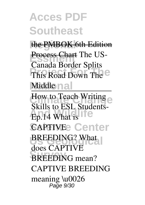the PMBOK 6th Edition **Process Chart** The US-Canada Border Splits

This Road Down The <sup>e</sup> Middle nal

How to Teach Writing e Ep.14 What is **CAPTIVEE Center BREEDING?** What **BREEDING** mean? Skills to ESL Studentsdoes CAPTIVE CAPTIVE BREEDING meaning \u0026 Page 9/30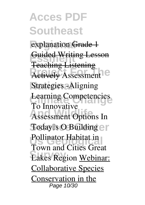explanation Grade 1 **Essment** Guided Writing Lesson **Producting**<br> **Property**<br> **Actively**<br> **Assessment Strategies -Aligning Climate Change Learning Competencies Assessment Options In** Today<sup>[]</sup>s O Building  $\ominus$  [] Pollinator Habitat in **Lakes Region Webinar:** Teaching Listening **To Innovative** Town and Cities Great Collaborative Species Conservation in the Page 10/30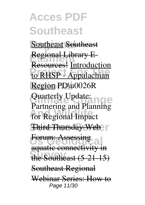**Acces PDF Southeast Southeast Southeast Regional Library E** to RHSP - Appalachian Region PD\u0026R **Quarterly Update: And Wildlife** *for Regional Impact* **Third Thursday Web Forum: Assessing al** the Southeast (5-21-15) **Resources!** Introduction *Quarterly Update: Partnering and Planning* aquatic connectivity in Southeast Regional Webinar Series: How to Page 11/30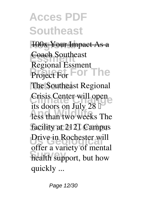**100x Your Impact As a** 

**Essment** Coach **Southeast Project For The Project For The Southeast Regional** Crisis Center will open **And Wildlife** less than two weeks The facility at 2121 Campus Drive in Rochester will **Survey** health support, but how **Regional Essment** its doors on July 28  $\mathbb I$ offer a variety of mental quickly ...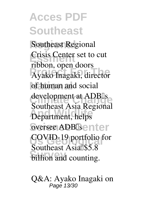**Regional Southeast Regional Crisis Center set to cut Project For The** Ayako Inagaki, director of human and social development at ADB<sup>[]</sup>s **And Wildlife** Department, helps oversee ADB<sup>Is</sup>enter **COVID-19 portfolio for Survey** billion and counting. **ribbon, open doors** Southeast Asia Regional Southeast Asia<sup>[185.8</sup>]

**Q&A: Ayako Inagaki on** Page 13/30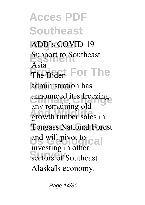**Acces PDF Southeast Regional ADB's COVID-19 Example 1**<br>**Support to Southeast** The Biden For The administration has announced it<sup>'s</sup> freezing any remaining on **Tongass National Forest** and will pivot to cal **Survey** sectors of Southeast **Asia** any remaining old investing in other Alaska<sup>[]</sup>s economy.

Page 14/30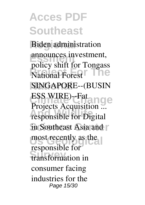**Biden** administration announces investment, **Poney sint for Tonguss** SINGAPORE--(BUSIN **ESS WIRE)-Fat angle And Wildlife** responsible for Digital in Southeast Asia and **r** most recently as the **Survey** transformation in **policy shift for Tongass** Projects Acquisition responsible for consumer facing industries for the Page 15/30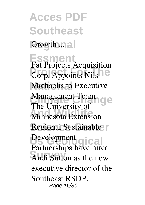**Acces PDF Southeast** Growth ...

**Essment**

**Prop.** Appoints Nils<sup>10</sup> **Michaelis to Executive Management Team**<br> **The University of Change And Wildlife** Minnesota Extension Regional Sustainable Development<br>
<u>Development</u><br>
<u>Olical</u> Andi Sutton as the new **Fat Projects Acquisition** The University of Partnerships have hired executive director of the Southeast RSDP. Page 16/30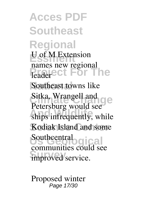**Acces PDF Southeast Regional Essment U of M Extension Properties** Southeast towns like Sitka, Wrangell and **C** ships infrequently, while Kodiak Island and some Southcentral gical improved service. **names new regional** Petersburg would see communities could see

**Proposed winter** Page 17/30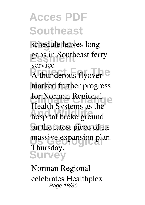schedule leaves long **Essment gaps in Southeast ferry** A thunderous flyover<sup>e</sup> marked further progress for Norman Regional **And Wildlife** hospital broke ground on the latest piece of its massive expansion plan **Survey service** Health Systems as the Thursday.

**Norman Regional celebrates Healthplex** Page 18/30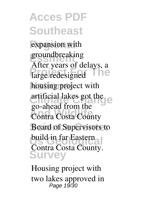**expansion** with groundbreaking **Profile** housing project with artificial lakes got the **And Wildlife** Contra Costa County **Board of Supervisors to** build in far Eastern **Survey** After years of delays, a go-ahead from the Contra Costa County.

**Housing project with two lakes approved in** Page 19/30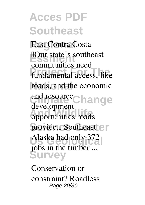**Regional East Contra Costa Example 18** Southeast **Project For The** fundamental access, like roads, and the economic and resource<sub>Change</sub> **And Wildlife** opportunities roads provide.<sup>[]</sup> Southeast en Alaska had only 372 **Survey** communities need development jobs in the timber ...

**Conservation or constraint? Roadless** Page 20/30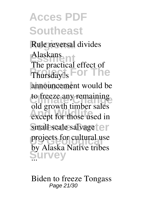**Regional Rule reversal divides Essment Alaskans** Thursday<sup>[]</sup>s For The announcement would be to freeze any remaining except for those used in small scale salvage<sup>t</sup>er projects for cultural use **Survey** The practical effect of old growth timber sales by Alaska Native tribes

**Biden to freeze Tongass** Page 21/30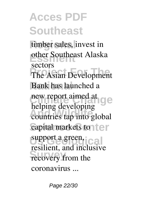**Regional timber sales, invest in Essment other Southeast Alaska The Asian Development** Bank has launched a new report aimed at **And Wildlife** countries tap into global capital markets to their support a green, cal recovery from the **sectors** helping developing resilient, and inclusive coronavirus ...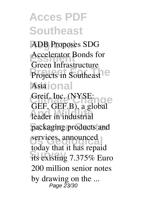**Regional ADB Proposes SDG Essment Accelerator Bonds for Projects in Southeast National Asia Green Infrastructure**

**Crimate Change** Leader in industrial packaging products and services, announced **Survey** its existing 7.375% Euro Greif, Inc. (NYSE: GEF, GEF.B), a global today that it has repaid 200 million senior notes by drawing on the ... Page 23/30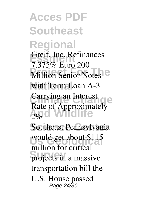**Acces PDF Southeast Regional** Greif, Inc. Refinances **Million Senior Notes** with Term Loan A-3 **Carrying an Interest** Rate of Approximately<br>2% Southeast Pennsylvania would get about \$115 projects in a massive **7.375% Euro 200 Carrying an Interest**  $2\%$ million for critical transportation bill the U.S. House passed Page 24/30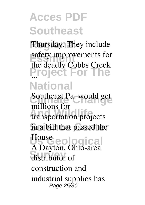**Regional** Thursday. They include safety improvements for<br>
the deadly Gabba Greek **Project For The National** the deadly Cobbs Creek

**Southeast Pa. would get And Wildlife transportation projects Science Center in a bill that passed the Us Geological House** distributor of **millions for** A Dayton, Ohio-area construction and industrial supplies has Page 25/30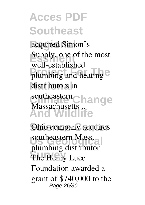acquired Simon<sup>[]</sup>s **Example 5 Supply, one of the most** plumbing and heating e distributors in **Change And Wildlife** well-established southeastern Massachusetts ..

**Ohio company acquires southeastern Mass.**<br> **about is considered Survey** The Henry Luce **plumbing distributor** Foundation awarded a grant of \$740,000 to the Page 26/30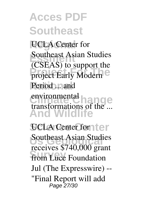**UCLA** Center for **Example 25 Southeast Asian Studies** project Early Modern<sup>e</sup> Period ... and environmental hange **And Wildlife** (CSEAS) to support the environmental transformations of the ...

**UCLA Center for the r Southeast Asian Studies from Luce Foundation receives \$740,000 grant** Jul (The Expresswire) -- "Final Report will add Page 27/30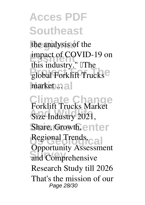the analysis of the **Example** in dynamics of COVID-19 on global Forklift Trucks<sup>e</sup> market .nal this industry." **The** 

**Climate Change** Size Industry 2021, Share, Growth, enter Regional Trends,<sub>Cal</sub> **Survey and Comprehensive Forklift Trucks Market Opportunity Assessment Research Study till 2026** That's the mission of our Page 28/30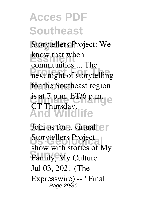**Storytellers Project: We Essment** know that when **Products Products Products Products** for the Southeast region **Climate Change** is at 7 p.m. ET/6 p.m. **And Wildlife** communities ... The CT Thursday.

**Join us for a virtual**  $e$ **r** Storytellers Project **Family, My Culture show with stories of My** Jul 03, 2021 (The Expresswire) -- "Final Page 29/30